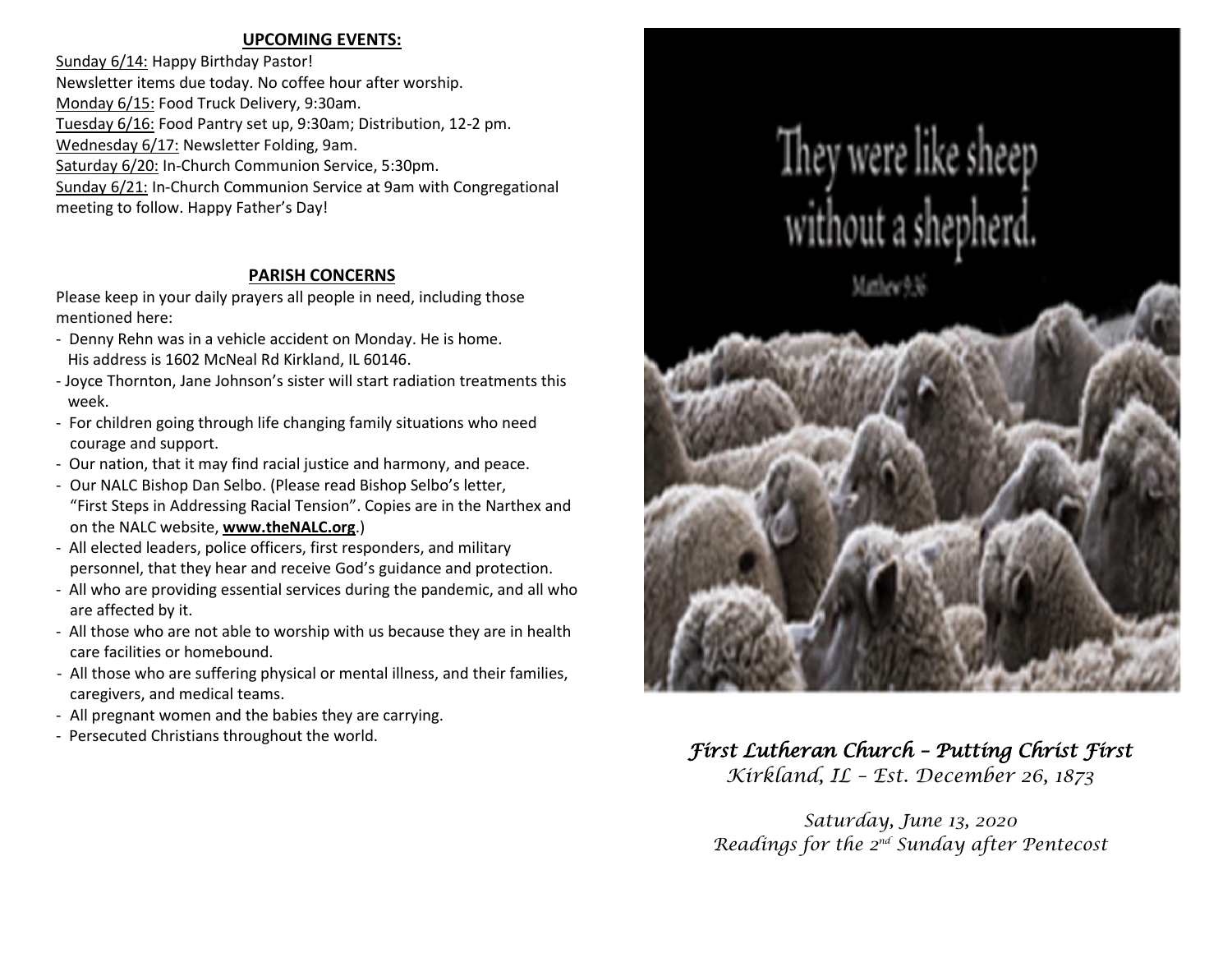## **UPCOMING EVENTS:**

Sunday 6/14: Happy Birthday Pastor! Newsletter items due today. No coffee hour after worship. Monday 6/15: Food Truck Delivery, 9:30am. Tuesday 6/16: Food Pantry set up, 9:30am; Distribution, 12-2 pm. Wednesday 6/17: Newsletter Folding, 9am. Saturday 6/20: In-Church Communion Service, 5:30pm. Sunday 6/21: In-Church Communion Service at 9am with Congregational meeting to follow. Happy Father's Day!

## **PARISH CONCERNS**

Please keep in your daily prayers all people in need, including those mentioned here:

- Denny Rehn was in a vehicle accident on Monday. He is home. His address is 1602 McNeal Rd Kirkland, IL 60146.
- Joyce Thornton, Jane Johnson's sister will start radiation treatments this week.
- For children going through life changing family situations who need courage and support.
- Our nation, that it may find racial justice and harmony, and peace.
- Our NALC Bishop Dan Selbo. (Please read Bishop Selbo's letter, "First Steps in Addressing Racial Tension". Copies are in the Narthex and on the NALC website, **[www.theNALC.org](http://www.thenalc.org/)**.)
- All elected leaders, police officers, first responders, and military personnel, that they hear and receive God's guidance and protection.
- All who are providing essential services during the pandemic, and all who are affected by it.
- All those who are not able to worship with us because they are in health care facilities or homebound.
- All those who are suffering physical or mental illness, and their families, caregivers, and medical teams.
- All pregnant women and the babies they are carrying.
- 



# - Persecuted Christians throughout the world. *First Lutheran Church – Putting Christ First*

*Kirkland, IL – Est. December 26, 1873*

*Saturday, June 13, 2020 Readings for the 2 nd Sunday after Pentecost*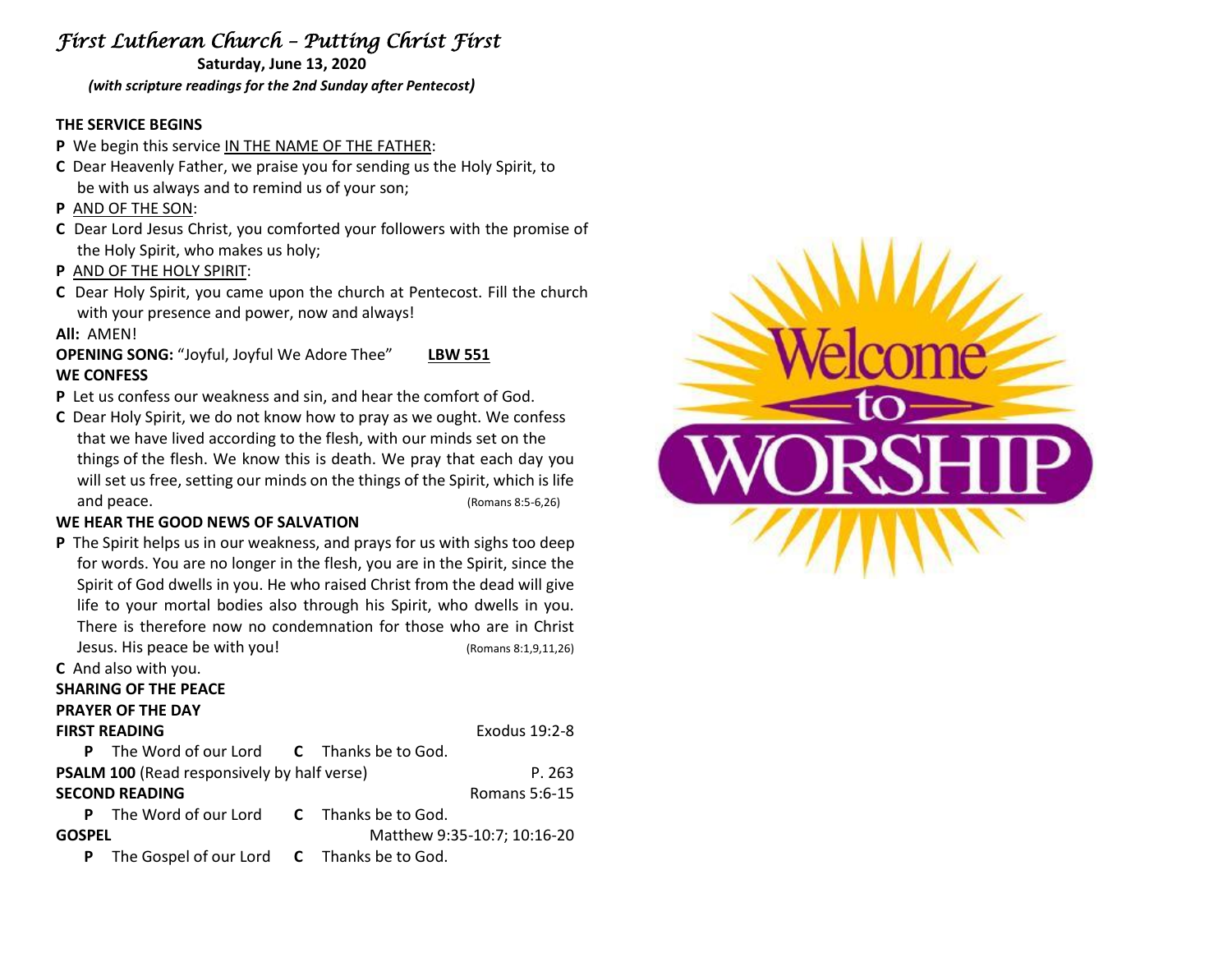## *First Lutheran Church – Putting Christ First*

**Saturday, June 13, 2020** *(with scripture readings for the 2nd Sunday after Pentecost)*

## **THE SERVICE BEGINS**

- **P** We begin this service IN THE NAME OF THE FATHER:
- **C** Dear Heavenly Father, we praise you for sending us the Holy Spirit, to be with us always and to remind us of your son;
- **P** AND OF THE SON:
- **C** Dear Lord Jesus Christ, you comforted your followers with the promise of the Holy Spirit, who makes us holy;
- **P** AND OF THE HOLY SPIRIT:
- **C** Dear Holy Spirit, you came upon the church at Pentecost. Fill the church with your presence and power, now and always!

## **All:** AMEN!

**OPENING SONG:** "Joyful, Joyful We Adore Thee" **LBW 551 WE CONFESS**

- **P** Let us confess our weakness and sin, and hear the comfort of God.
- **C** Dear Holy Spirit, we do not know how to pray as we ought. We confess that we have lived according to the flesh, with our minds set on the things of the flesh. We know this is death. We pray that each day you will set us free, setting our minds on the things of the Spirit, which is life and peace. (Romans 8:5-6,26)

## **WE HEAR THE GOOD NEWS OF SALVATION**

**P** The Spirit helps us in our weakness, and prays for us with sighs too deep for words. You are no longer in the flesh, you are in the Spirit, since the Spirit of God dwells in you. He who raised Christ from the dead will give life to your mortal bodies also through his Spirit, who dwells in you. There is therefore now no condemnation for those who are in Christ Jesus. His peace be with you! (Romans 8:1,9,11,26)

|                                                    | C And also with you.                                     |  |                             |  |
|----------------------------------------------------|----------------------------------------------------------|--|-----------------------------|--|
|                                                    | <b>SHARING OF THE PEACE</b>                              |  |                             |  |
| <b>PRAYER OF THE DAY</b>                           |                                                          |  |                             |  |
| <b>FIRST READING</b>                               |                                                          |  | Exodus 19:2-8               |  |
| P                                                  | The Word of our Lord <b>C</b> Thanks be to God.          |  |                             |  |
| <b>PSALM 100 (Read responsively by half verse)</b> |                                                          |  | P. 263                      |  |
| <b>SECOND READING</b>                              |                                                          |  | Romans 5:6-15               |  |
|                                                    | <b>P</b> The Word of our Lord <b>C</b> Thanks be to God. |  |                             |  |
| <b>GOSPEL</b>                                      |                                                          |  | Matthew 9:35-10:7; 10:16-20 |  |
| P                                                  | The Gospel of our Lord C Thanks be to God.               |  |                             |  |
|                                                    |                                                          |  |                             |  |

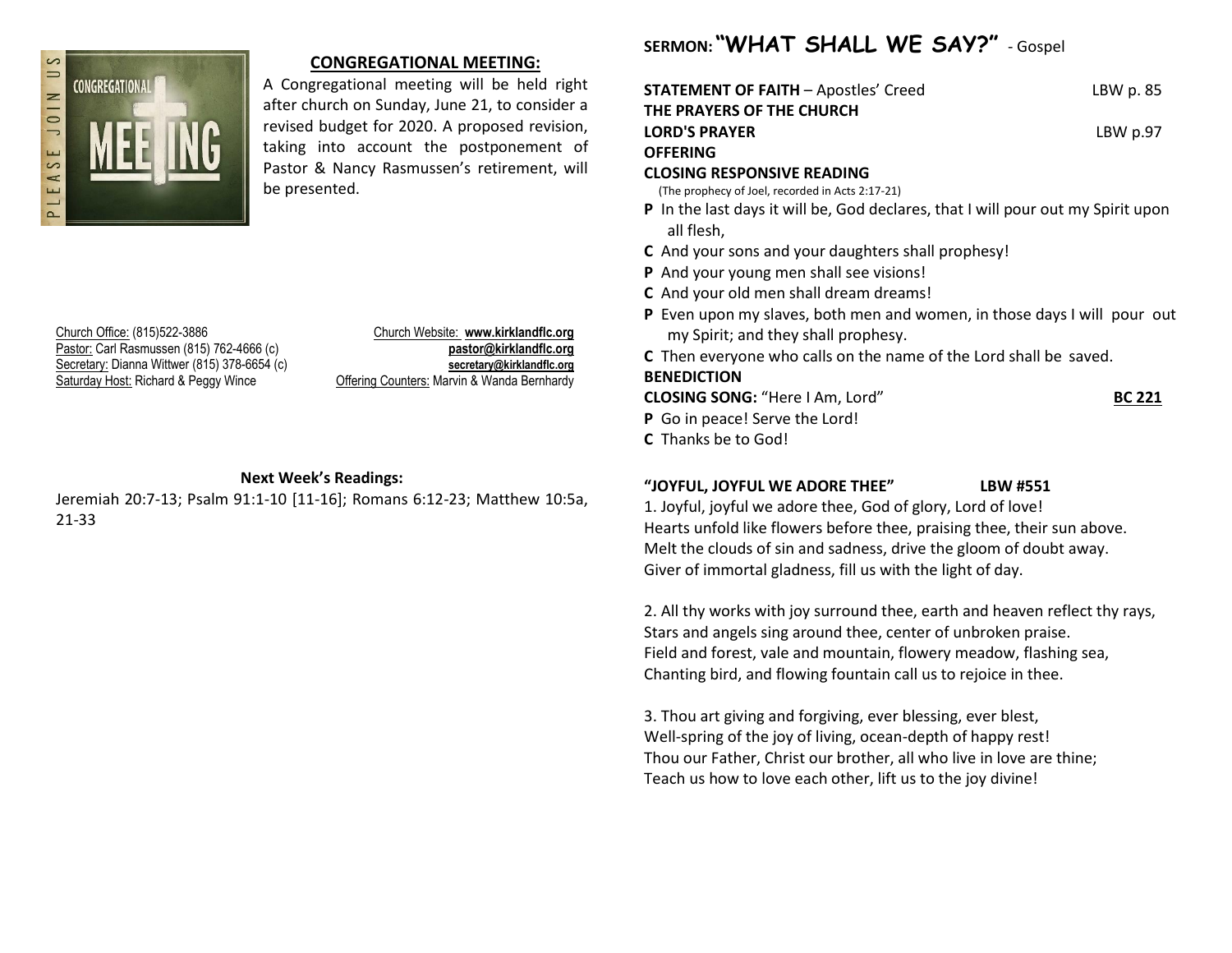

## **CONGREGATIONAL MEETING:**

A Congregational meeting will be held right after church on Sunday, June 21, to consider a revised budget for 2020. A proposed revision, taking into account the postponement of Pastor & Nancy Rasmussen's retirement, will be presented.

Church Office: (815)522-3886 Church Website: **www.kirklandflc.org** Pastor: Carl Rasmussen (815) 762-4666 (c) **pastor@kirklandflc.org** Secretary: Dianna Wittwer (815) 378-6654 (c) **secretary@kirklandflc.org** Saturday Host: Richard & Peggy Wince Offering Counters: Marvin & Wanda Bernhardy

## **Next Week's Readings:**

Jeremiah 20:7-13; Psalm 91:1-10 [11-16]; Romans 6:12-23; Matthew 10:5a, 21-33

## **SERMON: "WHAT SHALL WE SAY?"** - Gospel

| <b>STATEMENT OF FAITH –</b> Apostles' Creed | LBW p. 85 |
|---------------------------------------------|-----------|
| THE PRAYERS OF THE CHURCH                   |           |
| <b>LORD'S PRAYER</b>                        | LBWp.97   |
| OFFERING                                    |           |
| <b>CLOSING RESPONSIVE READING</b>           |           |

(The prophecy of Joel, recorded in Acts 2:17-21)

- **P** In the last days it will be, God declares, that I will pour out my Spirit upon all flesh,
- **C** And your sons and your daughters shall prophesy!
- **P** And your young men shall see visions!
- **C** And your old men shall dream dreams!
- **P** Even upon my slaves, both men and women, in those days I will pour out my Spirit; and they shall prophesy.
- **C** Then everyone who calls on the name of the Lord shall be saved.

**BENEDICTION**

**CLOSING SONG:** "Here I Am, Lord" **BC 221 P** Go in peace! Serve the Lord!

**C** Thanks be to God!

## **"JOYFUL, JOYFUL WE ADORE THEE" LBW #551**

1. Joyful, joyful we adore thee, God of glory, Lord of love! Hearts unfold like flowers before thee, praising thee, their sun above. Melt the clouds of sin and sadness, drive the gloom of doubt away. Giver of immortal gladness, fill us with the light of day.

2. All thy works with joy surround thee, earth and heaven reflect thy rays, Stars and angels sing around thee, center of unbroken praise. Field and forest, vale and mountain, flowery meadow, flashing sea, Chanting bird, and flowing fountain call us to rejoice in thee.

3. Thou art giving and forgiving, ever blessing, ever blest, Well-spring of the joy of living, ocean-depth of happy rest! Thou our Father, Christ our brother, all who live in love are thine; Teach us how to love each other, lift us to the joy divine!